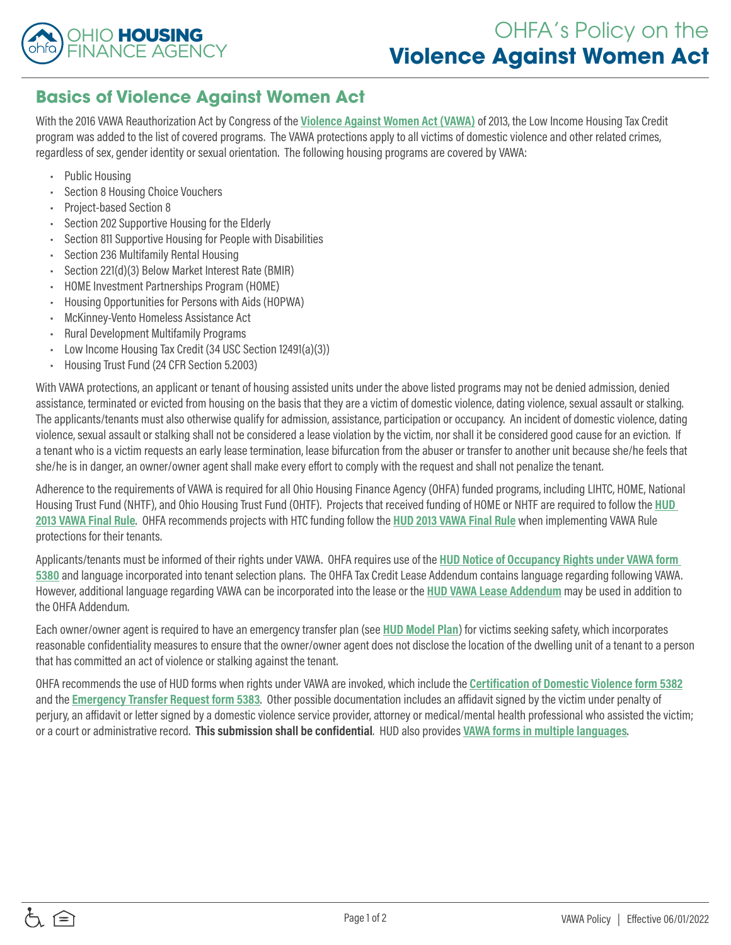

## **Basics of Violence Against Women Act**

With the 2016 VAWA Reauthorization Act by Congress of the **[Violence Against Women Act \(VAWA\)](https://www.gpo.gov/fdsys/pkg/BILLS-113s47enr/pdf/BILLS-113s47enr.pdf)** of 2013, the Low Income Housing Tax Credit program was added to the list of covered programs. The VAWA protections apply to all victims of domestic violence and other related crimes, regardless of sex, gender identity or sexual orientation. The following housing programs are covered by VAWA:

- Public Housing
- Section 8 Housing Choice Vouchers
- Project-based Section 8
- Section 202 Supportive Housing for the Elderly
- Section 811 Supportive Housing for People with Disabilities
- Section 236 Multifamily Rental Housing
- Section 221(d)(3) Below Market Interest Rate (BMIR)
- HOME Investment Partnerships Program (HOME)
- Housing Opportunities for Persons with Aids (HOPWA)
- McKinney-Vento Homeless Assistance Act
- Rural Development Multifamily Programs
- Low Income Housing Tax Credit (34 USC Section 12491(a)(3))
- Housing Trust Fund (24 CFR Section 5.2003)

With VAWA protections, an applicant or tenant of housing assisted units under the above listed programs may not be denied admission, denied assistance, terminated or evicted from housing on the basis that they are a victim of domestic violence, dating violence, sexual assault or stalking. The applicants/tenants must also otherwise qualify for admission, assistance, participation or occupancy. An incident of domestic violence, dating violence, sexual assault or stalking shall not be considered a lease violation by the victim, nor shall it be considered good cause for an eviction. If a tenant who is a victim requests an early lease termination, lease bifurcation from the abuser or transfer to another unit because she/he feels that she/he is in danger, an owner/owner agent shall make every effort to comply with the request and shall not penalize the tenant.

Adherence to the requirements of VAWA is required for all Ohio Housing Finance Agency (OHFA) funded programs, including LIHTC, HOME, National Housing Trust Fund (NHTF), and Ohio Housing Trust Fund (OHTF). Projects that received funding of HOME or NHTF are required to follow the **[HUD](https://www.govinfo.gov/content/pkg/FR-2016-11-16/pdf/2016-25888.pdf)  [2013 VAWA Final Rule](https://www.govinfo.gov/content/pkg/FR-2016-11-16/pdf/2016-25888.pdf)**. OHFA recommends projects with HTC funding follow the **[HUD 2013 VAWA Final Rule](https://www.govinfo.gov/content/pkg/FR-2016-11-16/pdf/2016-25888.pdf)** when implementing VAWA Rule protections for their tenants.

Applicants/tenants must be informed of their rights under VAWA. OHFA requires use of the **[HUD Notice of Occupancy Rights under VAWA form](http://ohiohome.org/compliance/documents/5380.docx)  [5380](http://ohiohome.org/compliance/documents/5380.docx)** and language incorporated into tenant selection plans. The OHFA Tax Credit Lease Addendum contains language regarding following VAWA. However, additional language regarding VAWA can be incorporated into the lease or the **[HUD VAWA Lease Addendum](https://ohiohome.org/compliance/documents/LIHTC-LeaseAddendum.pdf)** may be used in addition to the OHFA Addendum.

Each owner/owner agent is required to have an emergency transfer plan (see **[HUD Model Plan](http://ohiohome.org/compliance/documents/5381.docx)**) for victims seeking safety, which incorporates reasonable confidentiality measures to ensure that the owner/owner agent does not disclose the location of the dwelling unit of a tenant to a person that has committed an act of violence or stalking against the tenant.

OHFA recommends the use of HUD forms when rights under VAWA are invoked, which include the **[Certification of Domestic Violence form 5382](http://ohiohome.org/compliance/documents/5382.docx)** and the **[Emergency Transfer Request form 5383](http://ohiohome.org/compliance/documents/5383.docx)**. Other possible documentation includes an affidavit signed by the victim under penalty of perjury, an affidavit or letter signed by a domestic violence service provider, attorney or medical/mental health professional who assisted the victim; or a court or administrative record. **This submission shall be confidential**. HUD also provides **[VAWA forms in multiple languages](https://portal.hud.gov/hudportal/HUD?src=/program_offices/administration/hudclips/forms/hud5a)**.